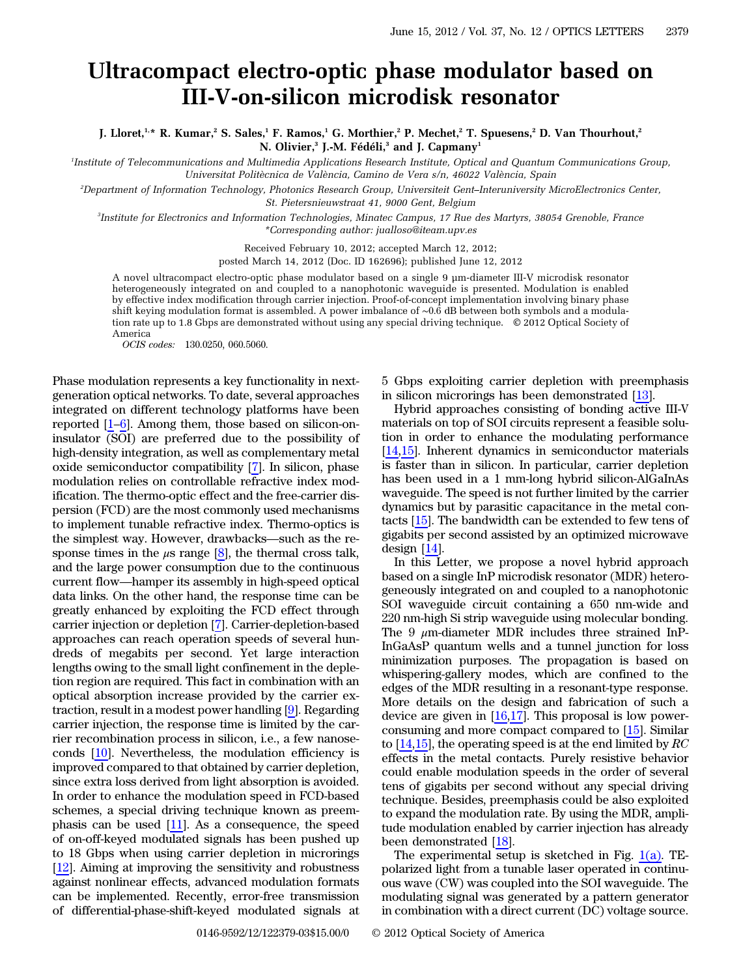## Ultracompact electro-optic phase modulator based on III-V-on-silicon microdisk resonator

J. Lloret,<sup>1,\*</sup> R. Kumar,<sup>2</sup> S. Sales,<sup>1</sup> F. Ramos,<sup>1</sup> G. Morthier,<sup>2</sup> P. Mechet,<sup>2</sup> T. Spuesens,<sup>2</sup> D. Van Thourhout,<sup>2</sup> N. Olivier,<sup>3</sup> J.-M. Fédéli,<sup>3</sup> and J. Capmany<sup>1</sup>

1 Institute of Telecommunications and Multimedia Applications Research Institute, Optical and Quantum Communications Group, Universitat Politècnica de València, Camino de Vera s/n, 46022 València, Spain

2 Department of Information Technology, Photonics Research Group, Universiteit Gent*–*Interuniversity MicroElectronics Center, St. Pietersnieuwstraat 41, 9000 Gent, Belgium

3 Institute for Electronics and Information Technologies, Minatec Campus, 17 Rue des Martyrs, 38054 Grenoble, France \*Corresponding author: jualloso@iteam.upv.es

Received February 10, 2012; accepted March 12, 2012;

posted March 14, 2012 (Doc. ID 162696); published June 12, 2012

A novel ultracompact electro-optic phase modulator based on a single 9 μm-diameter III-V microdisk resonator heterogeneously integrated on and coupled to a nanophotonic waveguide is presented. Modulation is enabled by effective index modification through carrier injection. Proof-of-concept implementation involving binary phase shift keying modulation format is assembled. A power imbalance of <sup>∼</sup>0.<sup>6</sup> dB between both symbols and a modulation rate up to 1.8 Gbps are demonstrated without using any special driving technique. © 2012 Optical Society of America

OCIS codes: 130.0250, 060.5060.

Phase modulation represents a key functionality in next-<br>generation optical networks. To date, several approaches<br>integrated on different technology platforms have been<br>reported [\[1](#page-2-0)–[6](#page-2-1)]. Among them, those based on silicon-on generation optical networks. To date, several approaches integrated on different technology platforms have been insulator (SOI) are preferred due to the possibility of high-density integration, as well as complementary metal oxide semiconductor compatibility [[7\]](#page-2-2). In silicon, phase modulation relies on controllable refractive index modification. The thermo-optic effect and the free-carrier dispersion (FCD) are the most commonly used mechanisms<br>to implement tunable refractive index. Thermo-optics is<br>the simplest way. However, drawbacks—such as the repersion (FCD) are the most commonly used mechanisms to implement tunable refractive index. Thermo-optics is sponse times in the  $\mu$ s range [[8\]](#page-2-3), the thermal cross talk, and the large power consumption due to the continuous Let us impliest way. However, drawbacks—such as the response times in the  $\mu$ s range [8], the thermal cross talk, and the large power consumption due to the continuous current flow—hamper its assembly in high-speed optic data links. On the other hand, the response time can be greatly enhanced by exploiting the FCD effect through carrier injection or depletion [\[7](#page-2-2)]. Carrier-depletion-based approaches can reach operation speeds of several hundreds of megabits per second. Yet large interaction lengths owing to the small light confinement in the depletion region are required. This fact in combination with an optical absorption increase provided by the carrier extraction, result in a modest power handling [[9\]](#page-2-4). Regarding carrier injection, the response time is limited by the carrier recombination process in silicon, i.e., a few nanoseconds [\[10](#page-2-5)]. Nevertheless, the modulation efficiency is improved compared to that obtained by carrier depletion, since extra loss derived from light absorption is avoided. In order to enhance the modulation speed in FCD-based schemes, a special driving technique known as preemphasis can be used  $[11]$  $[11]$  $[11]$ . As a consequence, the speed of on-off-keyed modulated signals has been pushed up to 18 Gbps when using carrier depletion in microrings [\[12](#page-2-7)]. Aiming at improving the sensitivity and robustness against nonlinear effects, advanced modulation formats can be implemented. Recently, error-free transmission of differential-phase-shift-keyed modulated signals at

5 Gbps exploiting carrier depletion with preemphasis in silicon microrings has been demonstrated [[13\]](#page-2-8).

Hybrid approaches consisting of bonding active III-V materials on top of SOI circuits represent a feasible solution in order to enhance the modulating performance [\[14](#page-2-9),[15\]](#page-2-10). Inherent dynamics in semiconductor materials is faster than in silicon. In particular, carrier depletion has been used in a 1 mm-long hybrid silicon-AlGaInAs waveguide. The speed is not further limited by the carrier dynamics but by parasitic capacitance in the metal contacts [[15\]](#page-2-10). The bandwidth can be extended to few tens of gigabits per second assisted by an optimized microwave design  $[14]$  $[14]$ .

In this Letter, we propose a novel hybrid approach based on a single InP microdisk resonator (MDR) heterogeneously integrated on and coupled to a nanophotonic SOI waveguide circuit containing a 650 nm-wide and 220 nm-high Si strip waveguide using molecular bonding. The 9  $\mu$ m-diameter MDR includes three strained InP-InGaAsP quantum wells and a tunnel junction for loss minimization purposes. The propagation is based on whispering-gallery modes, which are confined to the edges of the MDR resulting in a resonant-type response. More details on the design and fabrication of such a device are given in  $[16,17]$  $[16,17]$  $[16,17]$  $[16,17]$ . This proposal is low powerconsuming and more compact compared to [[15\]](#page-2-10). Similar to  $[14,15]$  $[14,15]$  $[14,15]$ , the operating speed is at the end limited by RC effects in the metal contacts. Purely resistive behavior could enable modulation speeds in the order of several tens of gigabits per second without any special driving technique. Besides, preemphasis could be also exploited to expand the modulation rate. By using the MDR, amplitude modulation enabled by carrier injection has already been demonstrated [\[18](#page-2-13)].

The experimental setup is sketched in Fig.  $1(a)$ . TEpolarized light from a tunable laser operated in continuous wave (CW) was coupled into the SOI waveguide. The modulating signal was generated by a pattern generator in combination with a direct current (DC) voltage source.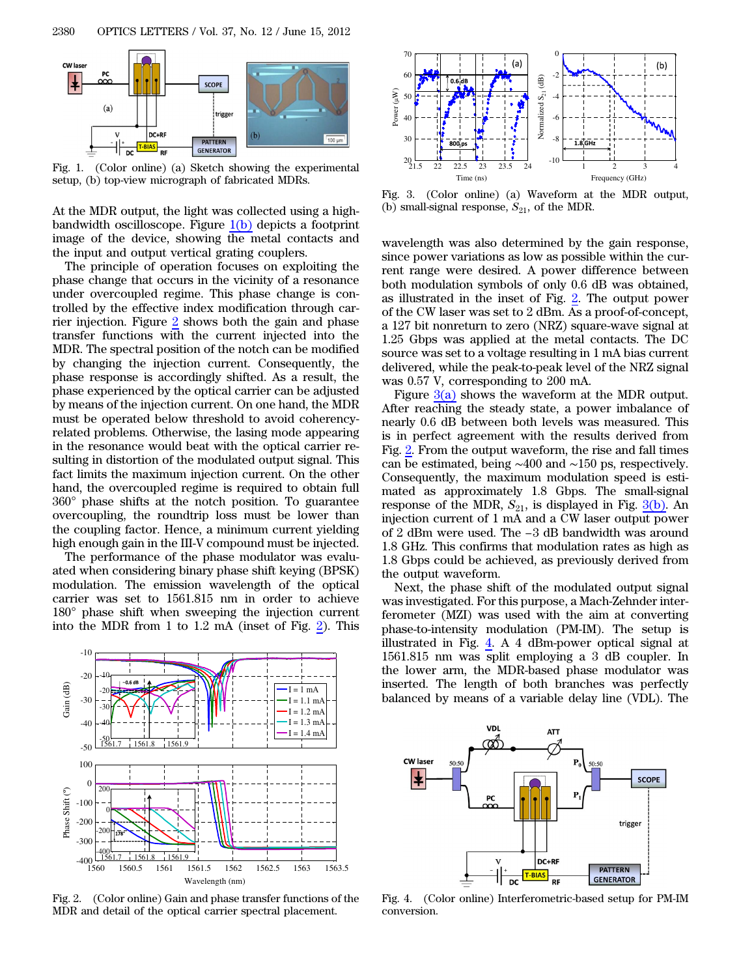<span id="page-1-0"></span>

Fig. 1. (Color online) (a) Sketch showing the experimental setup, (b) top-view micrograph of fabricated MDRs.

At the MDR output, the light was collected using a highbandwidth oscilloscope. Figure  $1(b)$  depicts a footprint image of the device, showing the metal contacts and the input and output vertical grating couplers.

The principle of operation focuses on exploiting the phase change that occurs in the vicinity of a resonance under overcoupled regime. This phase change is controlled by the effective index modification through carrier injection. Figure [2](#page-1-1) shows both the gain and phase transfer functions with the current injected into the MDR. The spectral position of the notch can be modified by changing the injection current. Consequently, the phase response is accordingly shifted. As a result, the phase experienced by the optical carrier can be adjusted by means of the injection current. On one hand, the MDR must be operated below threshold to avoid coherencyrelated problems. Otherwise, the lasing mode appearing in the resonance would beat with the optical carrier resulting in distortion of the modulated output signal. This fact limits the maximum injection current. On the other hand, the overcoupled regime is required to obtain full 360° phase shifts at the notch position. To guarantee overcoupling, the roundtrip loss must be lower than the coupling factor. Hence, a minimum current yielding high enough gain in the III-V compound must be injected.

The performance of the phase modulator was evaluated when considering binary phase shift keying (BPSK) modulation. The emission wavelength of the optical carrier was set to 1561.815 nm in order to achieve 180° phase shift when sweeping the injection current into the MDR from 1 to 1.2 mA (inset of Fig. [2\)](#page-1-1). This

<span id="page-1-1"></span>

Fig. 2. (Color online) Gain and phase transfer functions of the MDR and detail of the optical carrier spectral placement.

<span id="page-1-2"></span>

Fig. 3. (Color online) (a) Waveform at the MDR output, (b) small-signal response,  $S_{21}$ , of the MDR.

wavelength was also determined by the gain response, since power variations as low as possible within the current range were desired. A power difference between both modulation symbols of only 0.6 dB was obtained, as illustrated in the inset of Fig. [2](#page-1-1). The output power of the CW laser was set to 2 dBm. As a proof-of-concept, a 127 bit nonreturn to zero (NRZ) square-wave signal at 1.25 Gbps was applied at the metal contacts. The DC source was set to a voltage resulting in 1 mA bias current delivered, while the peak-to-peak level of the NRZ signal was 0.57 V, corresponding to 200 mA.

Figure  $3(a)$  shows the waveform at the MDR output. After reaching the steady state, a power imbalance of nearly 0.6 dB between both levels was measured. This is in perfect agreement with the results derived from Fig. [2](#page-1-1). From the output waveform, the rise and fall times can be estimated, being <sup>∼</sup><sup>400</sup> and <sup>∼</sup><sup>150</sup> ps, respectively. Consequently, the maximum modulation speed is estimated as approximately 1.8 Gbps. The small-signal response of the MDR,  $S_{21}$ , is displayed in Fig.  $\underline{3(b)}$ . An injection current of 1 mA and a CW laser output power of 2 dBm were used. The *n* and a CW laser output power<br>of 2 dBm were used. The *−*3 dB bandwidth was around 1.8 GHz. This confirms that modulation rates as high as 1.8 Gbps could be achieved, as previously derived from the output waveform.

Next, the phase shift of the modulated output signal was investigated. For this purpose, a Mach-Zehnder interferometer (MZI) was used with the aim at converting phase-to-intensity modulation (PM-IM). The setup is illustrated in Fig. [4](#page-1-3). A 4 dBm-power optical signal at 1561.815 nm was split employing a 3 dB coupler. In the lower arm, the MDR-based phase modulator was inserted. The length of both branches was perfectly balanced by means of a variable delay line (VDL). The

<span id="page-1-3"></span>

Fig. 4. (Color online) Interferometric-based setup for PM-IM conversion.